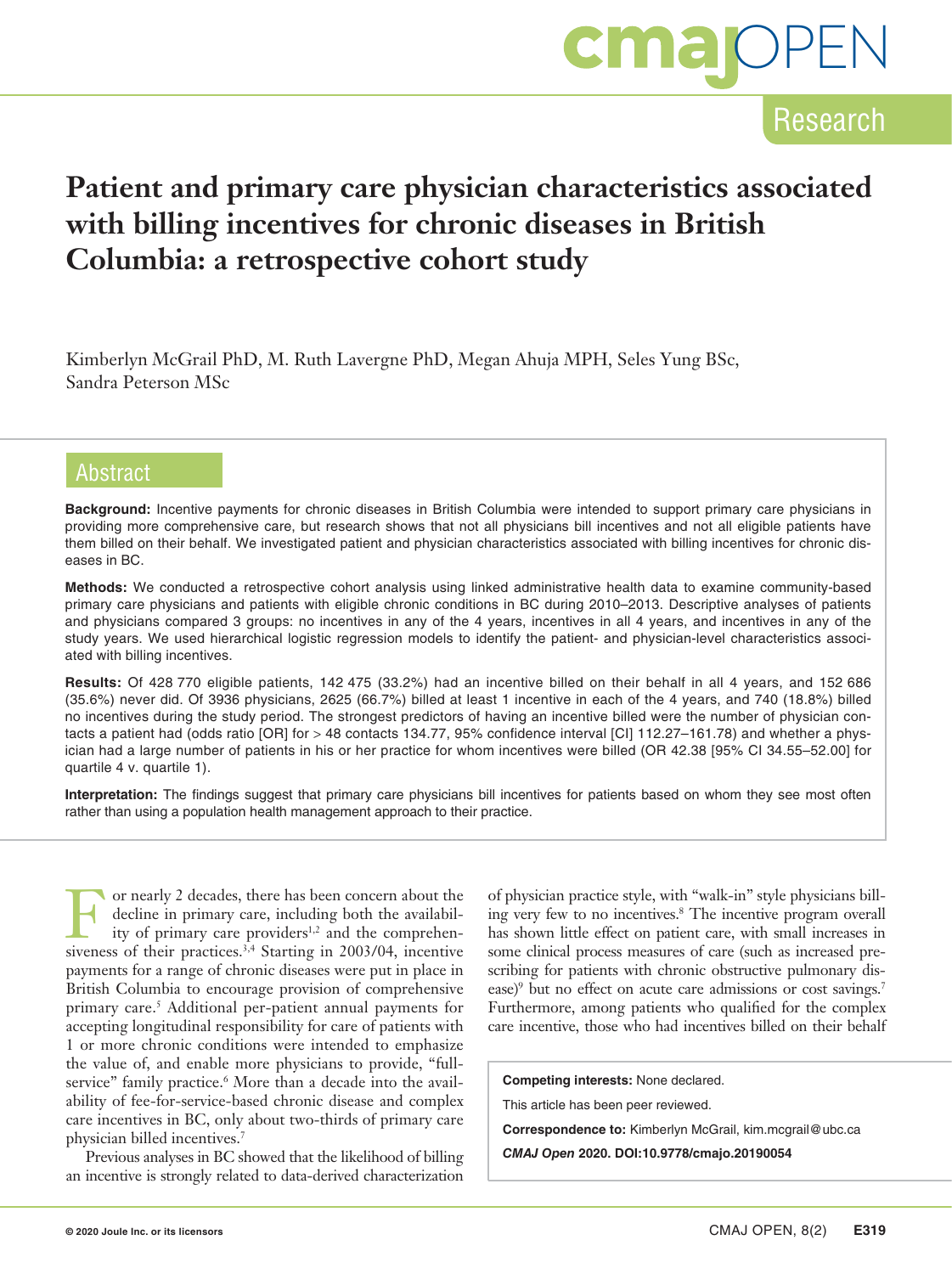

### Research

### **Patient and primary care physician characteristics associated with billing incentives for chronic diseases in British Columbia: a retrospective cohort study**

Kimberlyn McGrail PhD, M. Ruth Lavergne PhD, Megan Ahuja MPH, Seles Yung BSc, Sandra Peterson MSc

### Abstract

**Background:** Incentive payments for chronic diseases in British Columbia were intended to support primary care physicians in providing more comprehensive care, but research shows that not all physicians bill incentives and not all eligible patients have them billed on their behalf. We investigated patient and physician characteristics associated with billing incentives for chronic diseases in BC.

**Methods:** We conducted a retrospective cohort analysis using linked administrative health data to examine community-based primary care physicians and patients with eligible chronic conditions in BC during 2010–2013. Descriptive analyses of patients and physicians compared 3 groups: no incentives in any of the 4 years, incentives in all 4 years, and incentives in any of the study years. We used hierarchical logistic regression models to identify the patient- and physician-level characteristics associated with billing incentives.

**Results:** Of 428 770 eligible patients, 142 475 (33.2%) had an incentive billed on their behalf in all 4 years, and 152 686 (35.6%) never did. Of 3936 physicians, 2625 (66.7%) billed at least 1 incentive in each of the 4 years, and 740 (18.8%) billed no incentives during the study period. The strongest predictors of having an incentive billed were the number of physician contacts a patient had (odds ratio [OR] for > 48 contacts 134.77, 95% confidence interval [CI] 112.27–161.78) and whether a physician had a large number of patients in his or her practice for whom incentives were billed (OR 42.38 [95% CI 34.55–52.00] for quartile 4 v. quartile 1).

**Interpretation:** The findings suggest that primary care physicians bill incentives for patients based on whom they see most often rather than using a population health management approach to their practice.

For nearly 2 decades, there has been concern about the decline in primary care, including both the availability of primary care providers<sup>1,2</sup> and the comprehen-<br>signese of their proctices <sup>3,4</sup> Starting in 2003/04 incenti decline in primary care, including both the availabilsiveness of their practices.<sup>3,4</sup> Starting in 2003/04, incentive payments for a range of chronic diseases were put in place in British Columbia to encourage provision of comprehensive primary care.<sup>5</sup> Additional per-patient annual payments for accepting longitudinal responsibility for care of patients with 1 or more chronic conditions were intended to emphasize the value of, and enable more physicians to provide, "fullservice" family practice.<sup>6</sup> More than a decade into the availability of fee-for-service-based chronic disease and complex care incentives in BC, only about two-thirds of primary care physician billed incentives.7

Previous analyses in BC showed that the likelihood of billing an incentive is strongly related to data-derived characterization

of physician practice style, with "walk-in" style physicians billing very few to no incentives.8 The incentive program overall has shown little effect on patient care, with small increases in some clinical process measures of care (such as increased prescribing for patients with chronic obstructive pulmonary disease)<sup>9</sup> but no effect on acute care admissions or cost savings.<sup>7</sup> Furthermore, among patients who qualified for the complex care incentive, those who had incentives billed on their behalf

**Competing interests:** None declared.

This article has been peer reviewed.

**Correspondence to:** Kimberlyn McGrail, kim.mcgrail@ubc.ca

*CMAJ Open* **2020. DOI:10.9778/cmajo.20190054**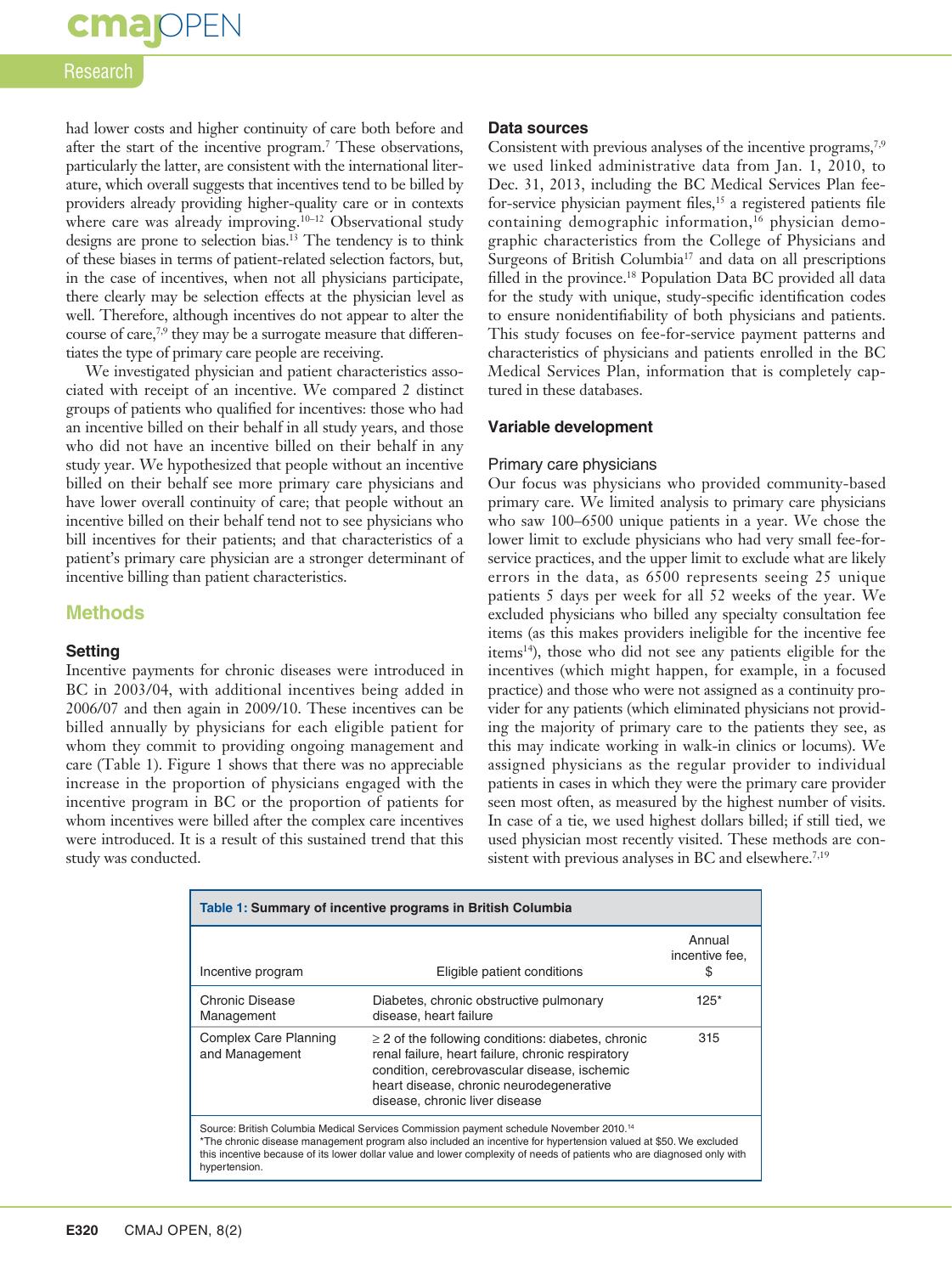## **cma** OPEN

### Research

had lower costs and higher continuity of care both before and after the start of the incentive program.7 These observations, particularly the latter, are consistent with the international literature, which overall suggests that incentives tend to be billed by providers already providing higher-quality care or in contexts where care was already improving.<sup>10-12</sup> Observational study designs are prone to selection bias.<sup>13</sup> The tendency is to think of these biases in terms of patient-related selection factors, but, in the case of incentives, when not all physicians participate, there clearly may be selection effects at the physician level as well. Therefore, although incentives do not appear to alter the course of care,7,9 they may be a surrogate measure that differentiates the type of primary care people are receiving.

We investigated physician and patient characteristics associated with receipt of an incentive. We compared 2 distinct groups of patients who qualified for incentives: those who had an incentive billed on their behalf in all study years, and those who did not have an incentive billed on their behalf in any study year. We hypothesized that people without an incentive billed on their behalf see more primary care physicians and have lower overall continuity of care; that people without an incentive billed on their behalf tend not to see physicians who bill incentives for their patients; and that characteristics of a patient's primary care physician are a stronger determinant of incentive billing than patient characteristics.

### **Methods**

### **Setting**

Incentive payments for chronic diseases were introduced in BC in 2003/04, with additional incentives being added in 2006/07 and then again in 2009/10. These incentives can be billed annually by physicians for each eligible patient for whom they commit to providing ongoing management and care (Table 1). Figure 1 shows that there was no appreciable increase in the proportion of physicians engaged with the incentive program in BC or the proportion of patients for whom incentives were billed after the complex care incentives were introduced. It is a result of this sustained trend that this study was conducted.

### **Data sources**

Consistent with previous analyses of the incentive programs,<sup>7,9</sup> we used linked administrative data from Jan. 1, 2010, to Dec. 31, 2013, including the BC Medical Services Plan feefor-service physician payment files,<sup>15</sup> a registered patients file containing demographic information,<sup>16</sup> physician demographic characteristics from the College of Physicians and Surgeons of British Columbia<sup>17</sup> and data on all prescriptions filled in the province.18 Population Data BC provided all data for the study with unique, study-specific identification codes to ensure nonidentifiability of both physicians and patients. This study focuses on fee-for-service payment patterns and characteristics of physicians and patients enrolled in the BC Medical Services Plan, information that is completely captured in these databases.

### **Variable development**

### Primary care physicians

Our focus was physicians who provided community-based primary care. We limited analysis to primary care physicians who saw 100–6500 unique patients in a year. We chose the lower limit to exclude physicians who had very small fee-forservice practices, and the upper limit to exclude what are likely errors in the data, as 6500 represents seeing 25 unique patients 5 days per week for all 52 weeks of the year. We excluded physicians who billed any specialty consultation fee items (as this makes providers ineligible for the incentive fee items<sup>14</sup>), those who did not see any patients eligible for the incentives (which might happen, for example, in a focused practice) and those who were not assigned as a continuity provider for any patients (which eliminated physicians not providing the majority of primary care to the patients they see, as this may indicate working in walk-in clinics or locums). We assigned physicians as the regular provider to individual patients in cases in which they were the primary care provider seen most often, as measured by the highest number of visits. In case of a tie, we used highest dollars billed; if still tied, we used physician most recently visited. These methods are consistent with previous analyses in BC and elsewhere.<sup>7,19</sup>

| Table 1: Summary of incentive programs in British Columbia                                                                                                                                                                                                                                                                                                       |                                                                                                                                                                                                                                            |                               |  |
|------------------------------------------------------------------------------------------------------------------------------------------------------------------------------------------------------------------------------------------------------------------------------------------------------------------------------------------------------------------|--------------------------------------------------------------------------------------------------------------------------------------------------------------------------------------------------------------------------------------------|-------------------------------|--|
| Incentive program                                                                                                                                                                                                                                                                                                                                                | Eligible patient conditions                                                                                                                                                                                                                | Annual<br>incentive fee.<br>S |  |
| Chronic Disease<br>Management                                                                                                                                                                                                                                                                                                                                    | Diabetes, chronic obstructive pulmonary<br>disease, heart failure                                                                                                                                                                          | $125*$                        |  |
| Complex Care Planning<br>and Management                                                                                                                                                                                                                                                                                                                          | $\geq$ 2 of the following conditions: diabetes, chronic<br>renal failure, heart failure, chronic respiratory<br>condition, cerebrovascular disease, ischemic<br>heart disease, chronic neurodegenerative<br>disease, chronic liver disease | 315                           |  |
| Source: British Columbia Medical Services Commission payment schedule November 2010. <sup>14</sup><br>*The chronic disease management program also included an incentive for hypertension valued at \$50. We excluded<br>this incentive because of its lower dollar value and lower complexity of needs of patients who are diagnosed only with<br>hypertension. |                                                                                                                                                                                                                                            |                               |  |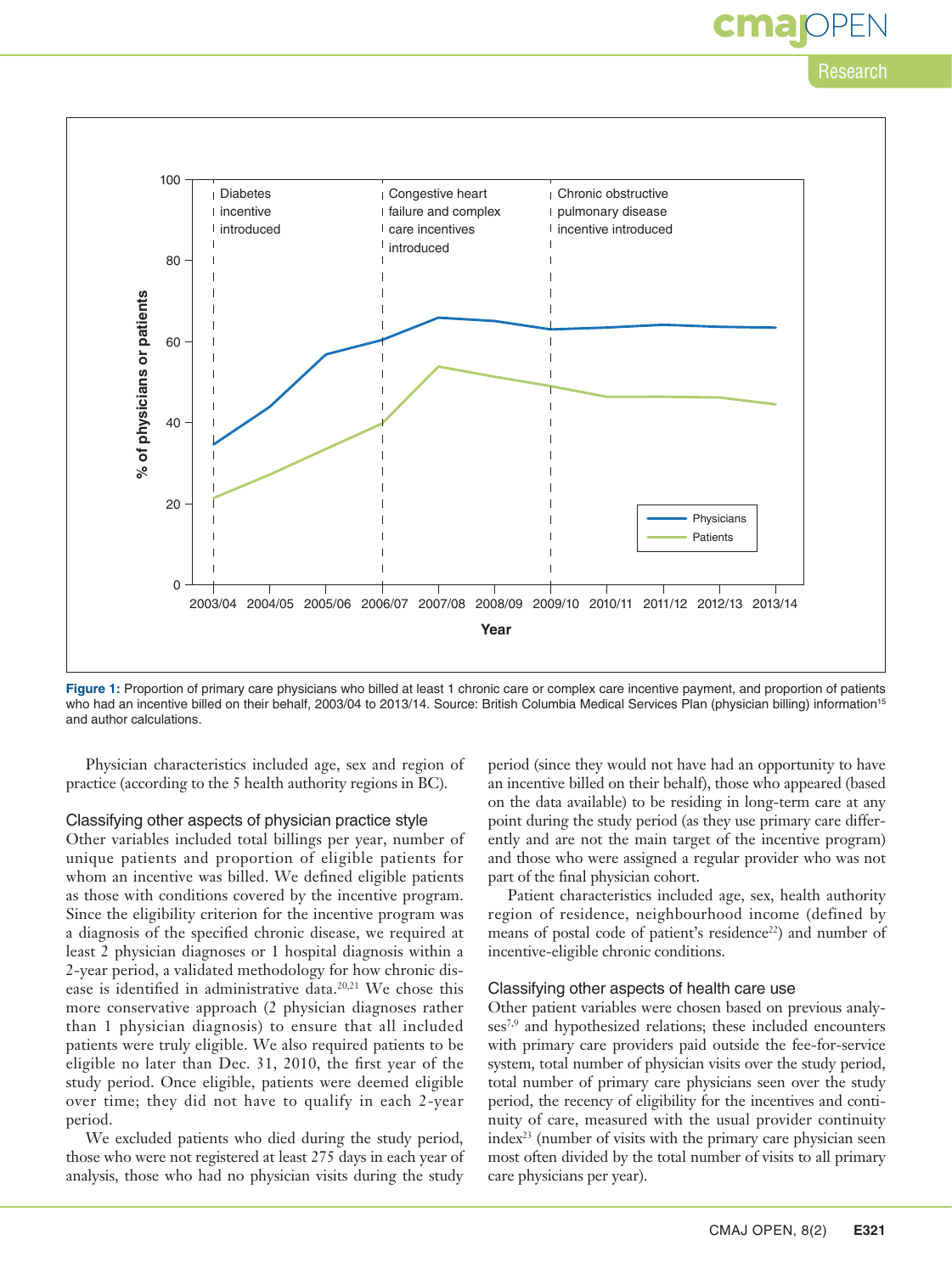# **OPEN**

Research



Figure 1: Proportion of primary care physicians who billed at least 1 chronic care or complex care incentive payment, and proportion of patients who had an incentive billed on their behalf, 2003/04 to 2013/14. Source: British Columbia Medical Services Plan (physician billing) information<sup>15</sup> and author calculations.

Physician characteristics included age, sex and region of practice (according to the 5 health authority regions in BC).

#### Classifying other aspects of physician practice style

Other variables included total billings per year, number of unique patients and proportion of eligible patients for whom an incentive was billed. We defined eligible patients as those with conditions covered by the incentive program. Since the eligibility criterion for the incentive program was a diagnosis of the specified chronic disease, we required at least 2 physician diagnoses or 1 hospital diagnosis within a 2-year period, a validated methodology for how chronic disease is identified in administrative data.20,21 We chose this more conservative approach (2 physician diagnoses rather than 1 physician diagnosis) to ensure that all included patients were truly eligible. We also required patients to be eligible no later than Dec. 31, 2010, the first year of the study period. Once eligible, patients were deemed eligible over time; they did not have to qualify in each 2-year period.

We excluded patients who died during the study period, those who were not registered at least 275 days in each year of analysis, those who had no physician visits during the study

period (since they would not have had an opportunity to have an incentive billed on their behalf), those who appeared (based on the data available) to be residing in long-term care at any point during the study period (as they use primary care differently and are not the main target of the incentive program) and those who were assigned a regular provider who was not part of the final physician cohort.

Patient characteristics included age, sex, health authority region of residence, neighbourhood income (defined by means of postal code of patient's residence<sup>22</sup>) and number of incentive-eligible chronic conditions.

### Classifying other aspects of health care use

Other patient variables were chosen based on previous analyses<sup>7,9</sup> and hypothesized relations; these included encounters with primary care providers paid outside the fee-for-service system, total number of physician visits over the study period, total number of primary care physicians seen over the study period, the recency of eligibility for the incentives and continuity of care, measured with the usual provider continuity index23 (number of visits with the primary care physician seen most often divided by the total number of visits to all primary care physicians per year).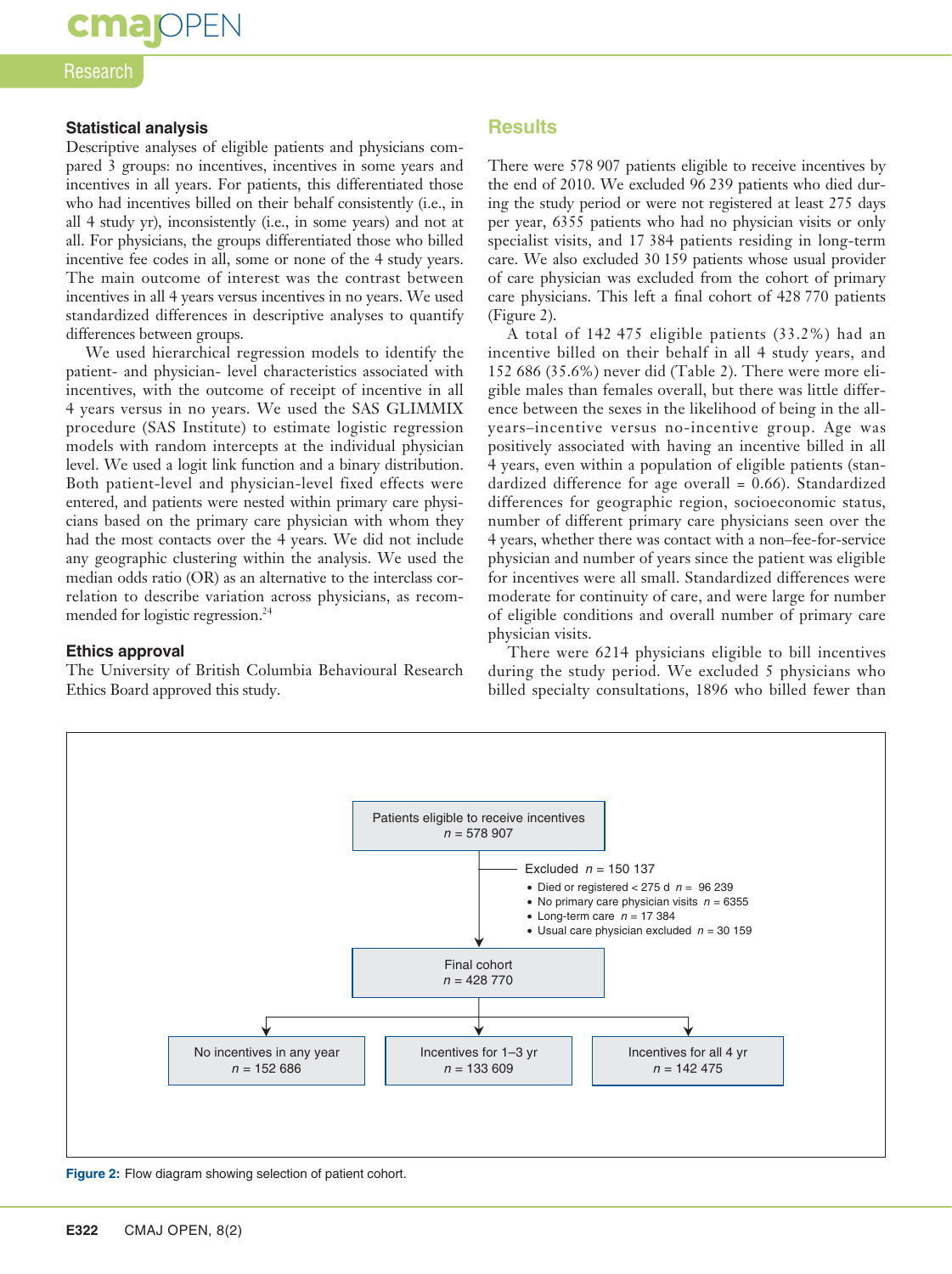cmaOPEN

### Research

### **Statistical analysis**

Descriptive analyses of eligible patients and physicians compared 3 groups: no incentives, incentives in some years and incentives in all years. For patients, this differentiated those who had incentives billed on their behalf consistently (i.e., in all 4 study yr), inconsistently (i.e., in some years) and not at all. For physicians, the groups differentiated those who billed incentive fee codes in all, some or none of the 4 study years. The main outcome of interest was the contrast between incentives in all 4 years versus incentives in no years. We used standardized differences in descriptive analyses to quantify differences between groups.

We used hierarchical regression models to identify the patient- and physician- level characteristics associated with incentives, with the outcome of receipt of incentive in all 4 years versus in no years. We used the SAS GLIMMIX procedure (SAS Institute) to estimate logistic regression models with random intercepts at the individual physician level. We used a logit link function and a binary distribution. Both patient-level and physician-level fixed effects were entered, and patients were nested within primary care physicians based on the primary care physician with whom they had the most contacts over the 4 years. We did not include any geographic clustering within the analysis. We used the median odds ratio (OR) as an alternative to the interclass correlation to describe variation across physicians, as recommended for logistic regression.24

### **Ethics approval**

The University of British Columbia Behavioural Research Ethics Board approved this study.

### **Results**

There were 578 907 patients eligible to receive incentives by the end of 2010. We excluded 96 239 patients who died during the study period or were not registered at least 275 days per year, 6355 patients who had no physician visits or only specialist visits, and 17 384 patients residing in long-term care. We also excluded 30 159 patients whose usual provider of care physician was excluded from the cohort of primary care physicians. This left a final cohort of 428 770 patients (Figure 2).

A total of 142 475 eligible patients (33.2%) had an incentive billed on their behalf in all 4 study years, and 152 686 (35.6%) never did (Table 2). There were more eligible males than females overall, but there was little difference between the sexes in the likelihood of being in the allyears–incentive versus no-incentive group. Age was positively associated with having an incentive billed in all 4 years, even within a population of eligible patients (standardized difference for age overall = 0.66). Standardized differences for geographic region, socioeconomic status, number of different primary care physicians seen over the 4 years, whether there was contact with a non–fee-for-service physician and number of years since the patient was eligible for incentives were all small. Standardized differences were moderate for continuity of care, and were large for number of eligible conditions and overall number of primary care physician visits.

There were 6214 physicians eligible to bill incentives during the study period. We excluded 5 physicians who billed specialty consultations, 1896 who billed fewer than

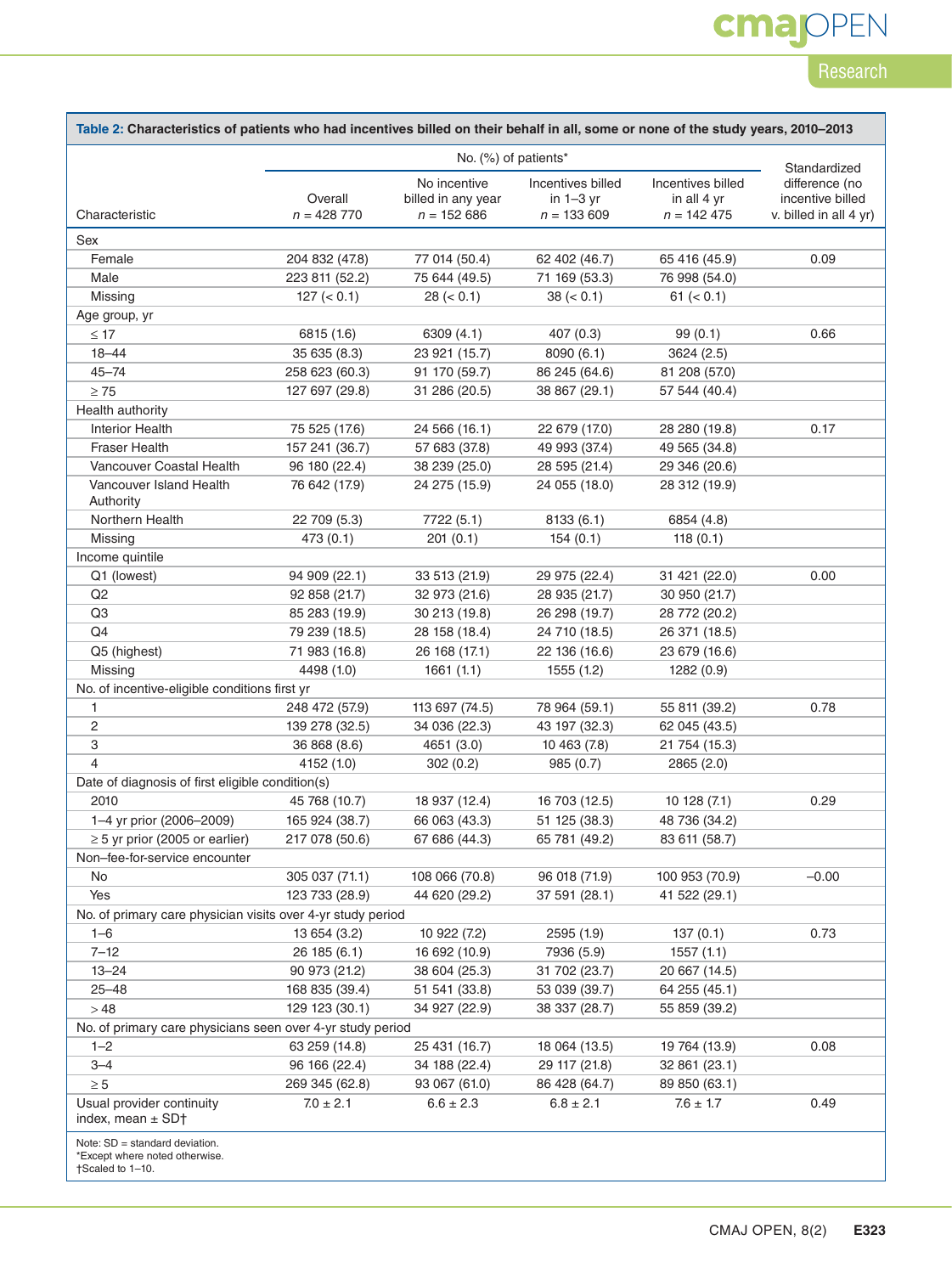## cmajOPEN

### Research

| Table 2: Characteristics of patients who had incentives billed on their behalf in all, some or none of the study years, 2010–2013 |                         |                                    |                             |                             |                                            |
|-----------------------------------------------------------------------------------------------------------------------------------|-------------------------|------------------------------------|-----------------------------|-----------------------------|--------------------------------------------|
|                                                                                                                                   | No. (%) of patients*    |                                    |                             | Standardized                |                                            |
|                                                                                                                                   |                         | No incentive                       | Incentives billed           | Incentives billed           | difference (no                             |
| Characteristic                                                                                                                    | Overall<br>$n = 428770$ | billed in any year<br>$n = 152686$ | in $1-3$ yr<br>$n = 133609$ | in all 4 yr<br>$n = 142475$ | incentive billed<br>v. billed in all 4 yr) |
| Sex                                                                                                                               |                         |                                    |                             |                             |                                            |
| Female                                                                                                                            | 204 832 (47.8)          | 77 014 (50.4)                      | 62 402 (46.7)               | 65 416 (45.9)               | 0.09                                       |
| Male                                                                                                                              | 223 811 (52.2)          | 75 644 (49.5)                      | 71 169 (53.3)               | 76 998 (54.0)               |                                            |
| Missing                                                                                                                           | 127 (< 0.1)             | 28 (< 0.1)                         | 38 (< 0.1)                  | 61 ( $< 0.1$ )              |                                            |
| Age group, yr                                                                                                                     |                         |                                    |                             |                             |                                            |
| $\leq 17$                                                                                                                         | 6815 (1.6)              | 6309(4.1)                          | 407(0.3)                    | 99(0.1)                     | 0.66                                       |
| $18 - 44$                                                                                                                         | 35 635 (8.3)            | 23 921 (15.7)                      | 8090 (6.1)                  | 3624 (2.5)                  |                                            |
| $45 - 74$                                                                                                                         | 258 623 (60.3)          | 91 170 (59.7)                      | 86 245 (64.6)               | 81 208 (57.0)               |                                            |
| $\geq 75$                                                                                                                         | 127 697 (29.8)          | 31 286 (20.5)                      | 38 867 (29.1)               | 57 544 (40.4)               |                                            |
| Health authority                                                                                                                  |                         |                                    |                             |                             |                                            |
| <b>Interior Health</b>                                                                                                            | 75 525 (17.6)           | 24 566 (16.1)                      | 22 679 (17.0)               | 28 280 (19.8)               | 0.17                                       |
| <b>Fraser Health</b>                                                                                                              | 157 241 (36.7)          | 57 683 (37.8)                      | 49 993 (37.4)               | 49 565 (34.8)               |                                            |
| Vancouver Coastal Health                                                                                                          | 96 180 (22.4)           | 38 239 (25.0)                      | 28 595 (21.4)               | 29 346 (20.6)               |                                            |
| Vancouver Island Health<br>Authority                                                                                              | 76 642 (17.9)           | 24 275 (15.9)                      | 24 055 (18.0)               | 28 312 (19.9)               |                                            |
| Northern Health                                                                                                                   | 22 709 (5.3)            | 7722 (5.1)                         | 8133(6.1)                   | 6854 (4.8)                  |                                            |
| Missing                                                                                                                           | 473 (0.1)               | 201(0.1)                           | 154(0.1)                    | 118(0.1)                    |                                            |
| Income quintile                                                                                                                   |                         |                                    |                             |                             |                                            |
| Q1 (lowest)                                                                                                                       | 94 909 (22.1)           | 33 513 (21.9)                      | 29 975 (22.4)               | 31 421 (22.0)               | 0.00                                       |
| Q2                                                                                                                                | 92 858 (21.7)           | 32 973 (21.6)                      | 28 935 (21.7)               | 30 950 (21.7)               |                                            |
| Q3                                                                                                                                | 85 283 (19.9)           | 30 213 (19.8)                      | 26 298 (19.7)               | 28 772 (20.2)               |                                            |
| Q4                                                                                                                                | 79 239 (18.5)           | 28 158 (18.4)                      | 24 710 (18.5)               | 26 371 (18.5)               |                                            |
| Q5 (highest)                                                                                                                      | 71 983 (16.8)           | 26 168 (17.1)                      | 22 136 (16.6)               | 23 679 (16.6)               |                                            |
| Missing                                                                                                                           | 4498 (1.0)              | 1661(1.1)                          | 1555 (1.2)                  | 1282(0.9)                   |                                            |
| No. of incentive-eligible conditions first yr                                                                                     |                         |                                    |                             |                             |                                            |
| 1                                                                                                                                 | 248 472 (57.9)          | 113 697 (74.5)                     | 78 964 (59.1)               | 55 811 (39.2)               | 0.78                                       |
| 2                                                                                                                                 | 139 278 (32.5)          | 34 036 (22.3)                      | 43 197 (32.3)               | 62 045 (43.5)               |                                            |
| 3                                                                                                                                 | 36 868 (8.6)            | 4651 (3.0)                         | 10 463 (7.8)                | 21 754 (15.3)               |                                            |
| 4                                                                                                                                 | 4152 (1.0)              | 302(0.2)                           | 985(0.7)                    | 2865 (2.0)                  |                                            |
| Date of diagnosis of first eligible condition(s)                                                                                  |                         |                                    |                             |                             |                                            |
| 2010                                                                                                                              | 45 768 (10.7)           | 18 937 (12.4)                      | 16 703 (12.5)               | 10 128 (7.1)                | 0.29                                       |
| 1-4 yr prior (2006-2009)                                                                                                          | 165 924 (38.7)          | 66 063 (43.3)                      | 51 125 (38.3)               | 48 736 (34.2)               |                                            |
| $\geq$ 5 yr prior (2005 or earlier)                                                                                               | 217 078 (50.6)          | 67 686 (44.3)                      | 65 781 (49.2)               | 83 611 (58.7)               |                                            |
| Non-fee-for-service encounter                                                                                                     |                         |                                    |                             |                             |                                            |
| No                                                                                                                                | 305 037 (71.1)          | 108 066 (70.8)                     | 96 018 (71.9)               | 100 953 (70.9)              | $-0.00$                                    |
| Yes                                                                                                                               | 123 733 (28.9)          | 44 620 (29.2)                      | 37 591 (28.1)               | 41 522 (29.1)               |                                            |
| No. of primary care physician visits over 4-yr study period                                                                       |                         |                                    |                             |                             |                                            |
| $1 - 6$                                                                                                                           | 13 654 (3.2)            | 10 922 (7.2)                       | 2595 (1.9)                  | 137(0.1)                    | 0.73                                       |
| $7 - 12$                                                                                                                          | 26 185 (6.1)            | 16 692 (10.9)                      | 7936 (5.9)                  | 1557(1.1)                   |                                            |
| $13 - 24$                                                                                                                         | 90 973 (21.2)           | 38 604 (25.3)                      | 31 702 (23.7)               | 20 667 (14.5)               |                                            |
| $25 - 48$                                                                                                                         | 168 835 (39.4)          | 51 541 (33.8)                      | 53 039 (39.7)               | 64 255 (45.1)               |                                            |
| >48                                                                                                                               | 129 123 (30.1)          | 34 927 (22.9)                      | 38 337 (28.7)               | 55 859 (39.2)               |                                            |
| No. of primary care physicians seen over 4-yr study period                                                                        |                         |                                    |                             |                             |                                            |
| $1 - 2$                                                                                                                           | 63 259 (14.8)           | 25 431 (16.7)                      | 18 064 (13.5)               | 19 764 (13.9)               | 0.08                                       |
| $3 - 4$                                                                                                                           | 96 166 (22.4)           | 34 188 (22.4)                      | 29 117 (21.8)               | 32 861 (23.1)               |                                            |
| $\geq 5$                                                                                                                          | 269 345 (62.8)          | 93 067 (61.0)                      | 86 428 (64.7)               | 89 850 (63.1)               |                                            |
| Usual provider continuity<br>index, mean $\pm$ SD†                                                                                | $7.0 \pm 2.1$           | $6.6 \pm 2.3$                      | $6.8 \pm 2.1$               | $7.6 \pm 1.7$               | 0.49                                       |
| Note: $SD = standard deviation$ .<br>*Except where noted otherwise.<br>+Scaled to 1-10.                                           |                         |                                    |                             |                             |                                            |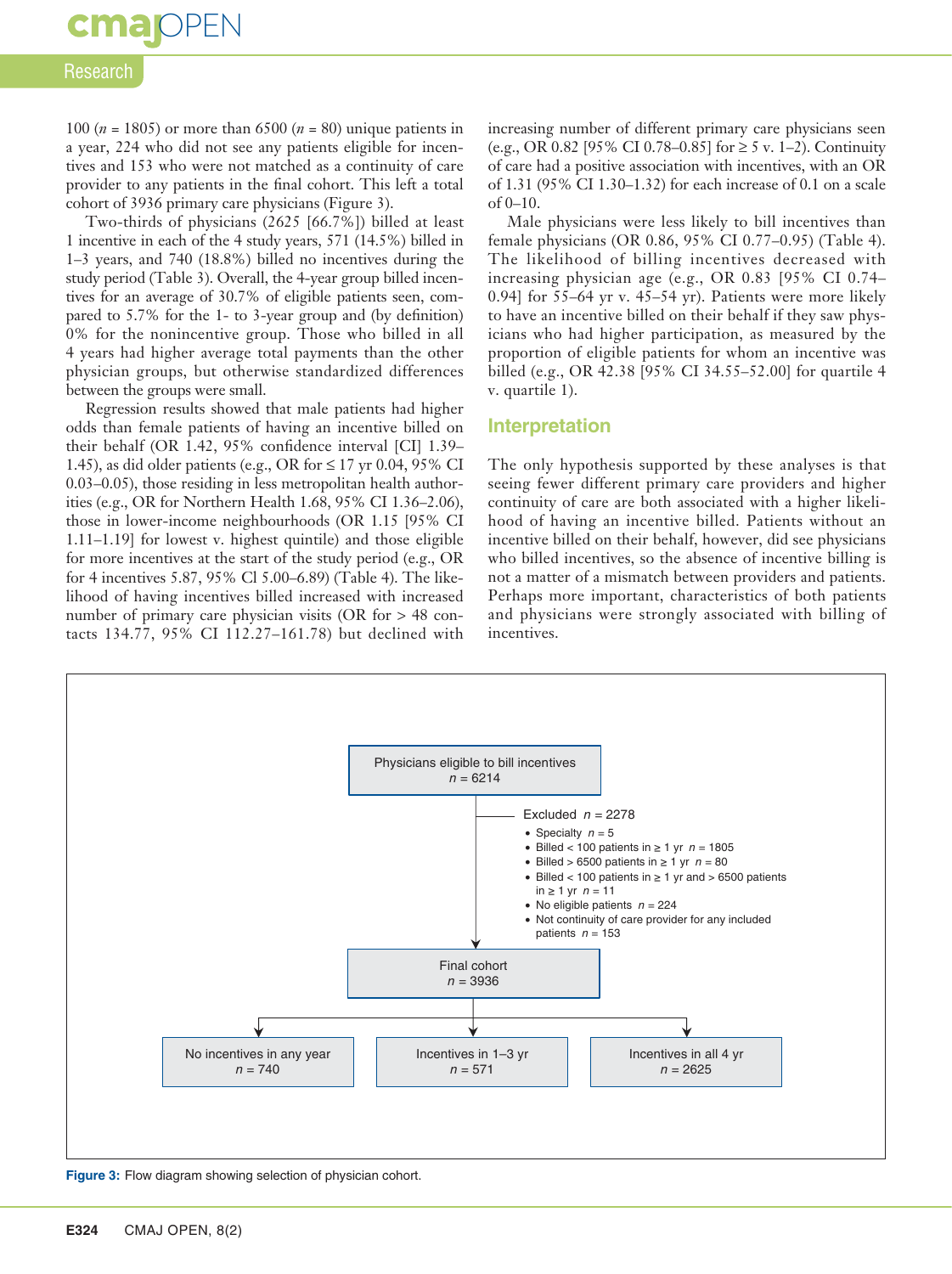### cmaOPEN

### Research

100 (*n* = 1805) or more than 6500 (*n* = 80) unique patients in a year, 224 who did not see any patients eligible for incentives and 153 who were not matched as a continuity of care provider to any patients in the final cohort. This left a total cohort of 3936 primary care physicians (Figure 3).

Two-thirds of physicians (2625 [66.7%]) billed at least 1 incentive in each of the 4 study years, 571 (14.5%) billed in 1–3 years, and 740 (18.8%) billed no incentives during the study period (Table 3). Overall, the 4-year group billed incentives for an average of 30.7% of eligible patients seen, compared to 5.7% for the 1- to 3-year group and (by definition) 0% for the nonincentive group. Those who billed in all 4 years had higher average total payments than the other physician groups, but otherwise standardized differences between the groups were small.

Regression results showed that male patients had higher odds than female patients of having an incentive billed on their behalf (OR 1.42, 95% confidence interval [CI] 1.39– 1.45), as did older patients (e.g., OR for ≤ 17 yr 0.04, 95% CI 0.03–0.05), those residing in less metropolitan health authorities (e.g., OR for Northern Health 1.68, 95% CI 1.36–2.06), those in lower-income neighbourhoods (OR 1.15 [95% CI 1.11–1.19] for lowest v. highest quintile) and those eligible for more incentives at the start of the study period (e.g., OR for 4 incentives 5.87, 95% Cl 5.00–6.89) (Table 4). The likelihood of having incentives billed increased with increased number of primary care physician visits (OR for  $> 48$  contacts 134.77, 95% CI 112.27–161.78) but declined with

increasing number of different primary care physicians seen (e.g., OR 0.82 [95% CI 0.78–0.85] for ≥ 5 v. 1–2). Continuity of care had a positive association with incentives, with an OR of 1.31 (95% CI 1.30–1.32) for each increase of 0.1 on a scale of 0–10.

Male physicians were less likely to bill incentives than female physicians (OR 0.86, 95% CI 0.77–0.95) (Table 4). The likelihood of billing incentives decreased with increasing physician age (e.g., OR 0.83 [95% CI 0.74– 0.94] for 55–64 yr v. 45–54 yr). Patients were more likely to have an incentive billed on their behalf if they saw physicians who had higher participation, as measured by the proportion of eligible patients for whom an incentive was billed (e.g., OR 42.38 [95% CI 34.55–52.00] for quartile 4 v. quartile 1).

### **Interpretation**

The only hypothesis supported by these analyses is that seeing fewer different primary care providers and higher continuity of care are both associated with a higher likelihood of having an incentive billed. Patients without an incentive billed on their behalf, however, did see physicians who billed incentives, so the absence of incentive billing is not a matter of a mismatch between providers and patients. Perhaps more important, characteristics of both patients and physicians were strongly associated with billing of incentives.



**Figure 3:** Flow diagram showing selection of physician cohort.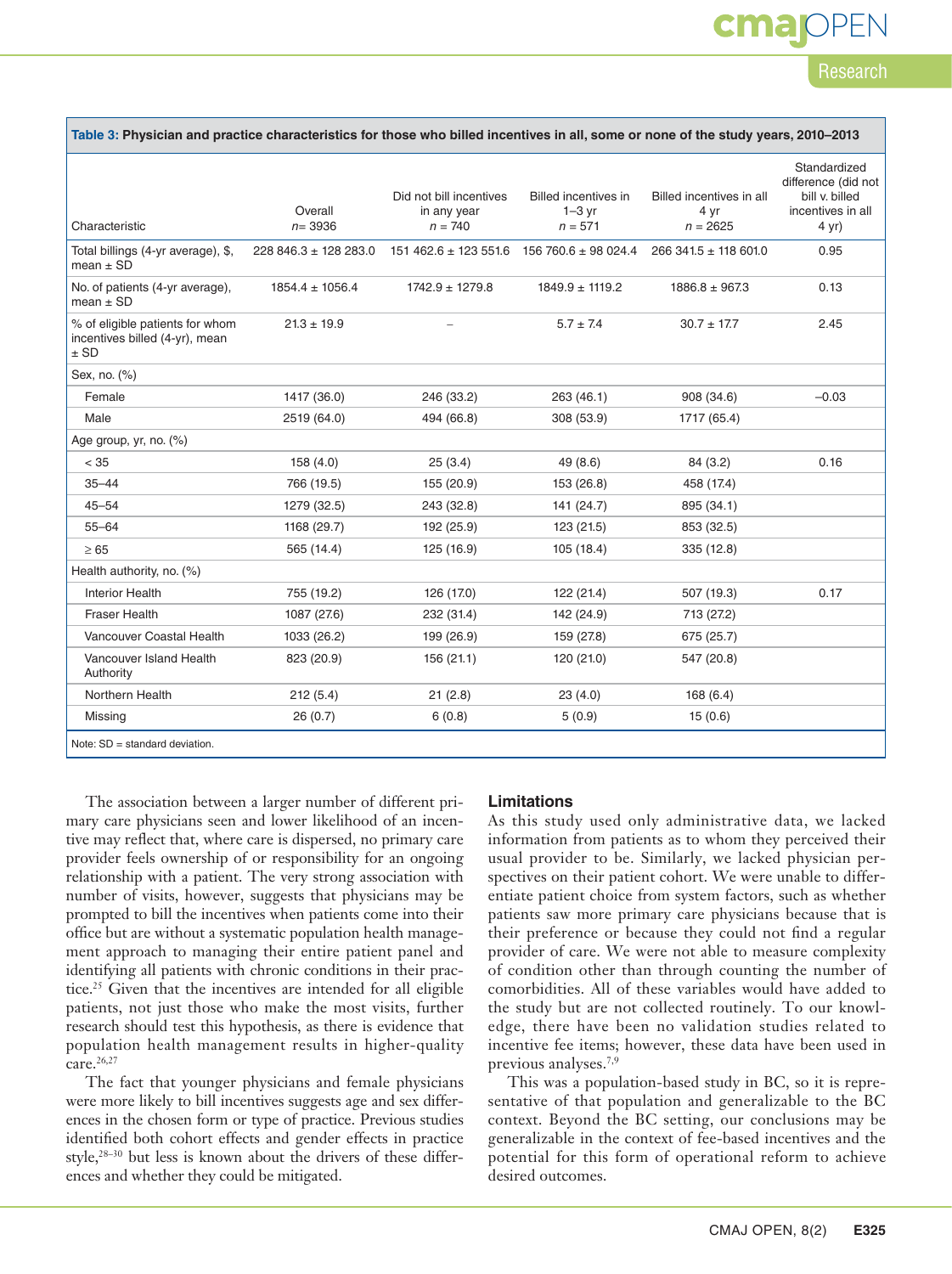### **OPEN** cma

### Research

| Characteristic                                                              | Overall<br>$n = 3936$   | Did not bill incentives<br>in any year<br>$n = 740$ | <b>Billed incentives in</b><br>$1-3$ yr<br>$n = 571$ | Billed incentives in all<br>4 yr<br>$n = 2625$ | Standardized<br>difference (did not<br>bill v. billed<br>incentives in all<br>$4 \text{ yr}$ ) |
|-----------------------------------------------------------------------------|-------------------------|-----------------------------------------------------|------------------------------------------------------|------------------------------------------------|------------------------------------------------------------------------------------------------|
| Total billings (4-yr average), \$,<br>mean $\pm$ SD                         | $228846.3 \pm 128283.0$ | $151462.6 \pm 123551.6$                             | $156760.6 \pm 98024.4$                               | $266341.5 \pm 118601.0$                        | 0.95                                                                                           |
| No. of patients (4-yr average),<br>mean $\pm$ SD                            | $1854.4 \pm 1056.4$     | $1742.9 \pm 1279.8$                                 | $1849.9 \pm 1119.2$                                  | $1886.8 \pm 967.3$                             | 0.13                                                                                           |
| % of eligible patients for whom<br>incentives billed (4-yr), mean<br>$±$ SD | $21.3 \pm 19.9$         |                                                     | $5.7 \pm 7.4$                                        | $30.7 \pm 17.7$                                | 2.45                                                                                           |
| Sex, no. (%)                                                                |                         |                                                     |                                                      |                                                |                                                                                                |
| Female                                                                      | 1417 (36.0)             | 246 (33.2)                                          | 263 (46.1)                                           | 908 (34.6)                                     | $-0.03$                                                                                        |
| Male                                                                        | 2519 (64.0)             | 494 (66.8)                                          | 308 (53.9)                                           | 1717 (65.4)                                    |                                                                                                |
| Age group, yr, no. (%)                                                      |                         |                                                     |                                                      |                                                |                                                                                                |
| < 35                                                                        | 158(4.0)                | 25(3.4)                                             | 49(8.6)                                              | 84 (3.2)                                       | 0.16                                                                                           |
| $35 - 44$                                                                   | 766 (19.5)              | 155 (20.9)                                          | 153 (26.8)                                           | 458 (17.4)                                     |                                                                                                |
| $45 - 54$                                                                   | 1279 (32.5)             | 243 (32.8)                                          | 141 (24.7)                                           | 895 (34.1)                                     |                                                                                                |
| $55 - 64$                                                                   | 1168 (29.7)             | 192 (25.9)                                          | 123(21.5)                                            | 853 (32.5)                                     |                                                                                                |
| $\geq 65$                                                                   | 565 (14.4)              | 125 (16.9)                                          | 105(18.4)                                            | 335 (12.8)                                     |                                                                                                |
| Health authority, no. (%)                                                   |                         |                                                     |                                                      |                                                |                                                                                                |
| <b>Interior Health</b>                                                      | 755 (19.2)              | 126 (17.0)                                          | 122 (21.4)                                           | 507 (19.3)                                     | 0.17                                                                                           |
| <b>Fraser Health</b>                                                        | 1087 (27.6)             | 232 (31.4)                                          | 142 (24.9)                                           | 713 (27.2)                                     |                                                                                                |
| Vancouver Coastal Health                                                    | 1033 (26.2)             | 199 (26.9)                                          | 159 (27.8)                                           | 675 (25.7)                                     |                                                                                                |
| Vancouver Island Health<br>Authority                                        | 823 (20.9)              | 156(21.1)                                           | 120 (21.0)                                           | 547 (20.8)                                     |                                                                                                |
| Northern Health                                                             | 212(5.4)                | 21(2.8)                                             | 23(4.0)                                              | 168(6.4)                                       |                                                                                                |
| Missing                                                                     | 26(0.7)                 | 6(0.8)                                              | 5(0.9)                                               | 15(0.6)                                        |                                                                                                |
| Note: SD = standard deviation.                                              |                         |                                                     |                                                      |                                                |                                                                                                |

**Table 3: Physician and practice characteristics for those who billed incentives in all, some or none of the study years, 2010–2013**

The association between a larger number of different primary care physicians seen and lower likelihood of an incentive may reflect that, where care is dispersed, no primary care provider feels ownership of or responsibility for an ongoing relationship with a patient. The very strong association with number of visits, however, suggests that physicians may be prompted to bill the incentives when patients come into their office but are without a systematic population health management approach to managing their entire patient panel and identifying all patients with chronic conditions in their practice.25 Given that the incentives are intended for all eligible patients, not just those who make the most visits, further research should test this hypothesis, as there is evidence that population health management results in higher-quality care.<sup>26,27</sup>

The fact that younger physicians and female physicians were more likely to bill incentives suggests age and sex differences in the chosen form or type of practice. Previous studies identified both cohort effects and gender effects in practice style,<sup>28-30</sup> but less is known about the drivers of these differences and whether they could be mitigated.

### **Limitations**

As this study used only administrative data, we lacked information from patients as to whom they perceived their usual provider to be. Similarly, we lacked physician perspectives on their patient cohort. We were unable to differentiate patient choice from system factors, such as whether patients saw more primary care physicians because that is their preference or because they could not find a regular provider of care. We were not able to measure complexity of condition other than through counting the number of comorbidities. All of these variables would have added to the study but are not collected routinely. To our knowledge, there have been no validation studies related to incentive fee items; however, these data have been used in previous analyses.7,9

This was a population-based study in BC, so it is representative of that population and generalizable to the BC context. Beyond the BC setting, our conclusions may be generalizable in the context of fee-based incentives and the potential for this form of operational reform to achieve desired outcomes.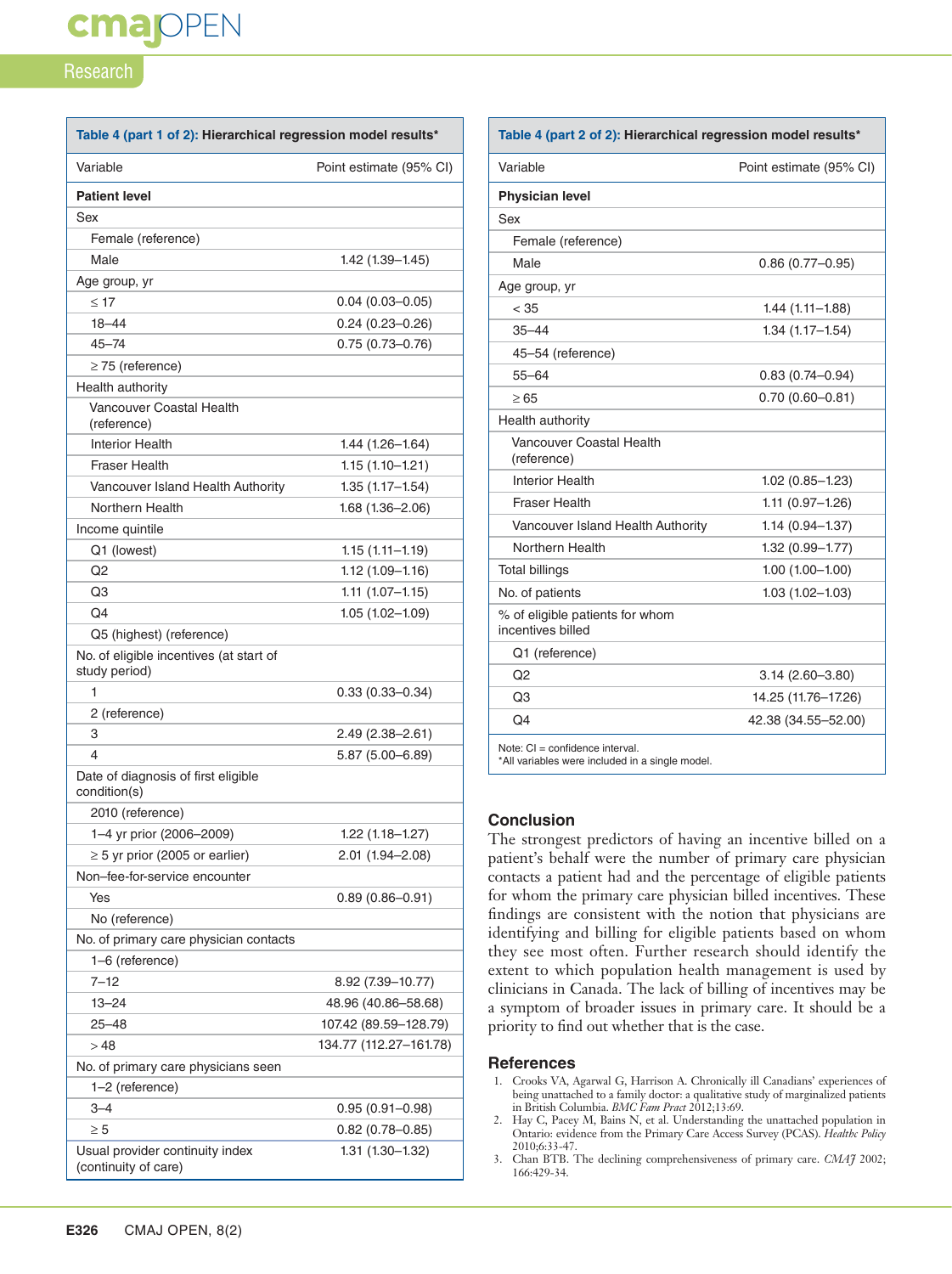## **cmal**OPEN

### Research

| Table 4 (part 1 of 2): Hierarchical regression model results* |                         |  |
|---------------------------------------------------------------|-------------------------|--|
| Variable                                                      | Point estimate (95% CI) |  |
| <b>Patient level</b>                                          |                         |  |
| Sex                                                           |                         |  |
| Female (reference)                                            |                         |  |
| Male                                                          | $1.42(1.39 - 1.45)$     |  |
| Age group, yr                                                 |                         |  |
| $\leq 17$                                                     | $0.04(0.03 - 0.05)$     |  |
| $18 - 44$                                                     | $0.24(0.23 - 0.26)$     |  |
| $45 - 74$                                                     | $0.75(0.73 - 0.76)$     |  |
| $\geq$ 75 (reference)                                         |                         |  |
| Health authority                                              |                         |  |
| Vancouver Coastal Health<br>(reference)                       |                         |  |
| <b>Interior Health</b>                                        | $1.44(1.26 - 1.64)$     |  |
| <b>Fraser Health</b>                                          | $1.15(1.10-1.21)$       |  |
| Vancouver Island Health Authority                             | $1.35(1.17 - 1.54)$     |  |
| Northern Health                                               | 1.68 (1.36-2.06)        |  |
| Income quintile                                               |                         |  |
| Q1 (lowest)                                                   | $1.15(1.11 - 1.19)$     |  |
| Q2                                                            | $1.12(1.09 - 1.16)$     |  |
| QЗ                                                            | $1.11(1.07 - 1.15)$     |  |
| Q4                                                            | 1.05 (1.02-1.09)        |  |
| Q5 (highest) (reference)                                      |                         |  |
| No. of eligible incentives (at start of<br>study period)      |                         |  |
| 1                                                             | $0.33(0.33 - 0.34)$     |  |
| 2 (reference)                                                 |                         |  |
| 3                                                             | $2.49(2.38 - 2.61)$     |  |
| 4                                                             | $5.87(5.00 - 6.89)$     |  |
| Date of diagnosis of first eligible<br>condition(s)           |                         |  |
| 2010 (reference)                                              |                         |  |
| 1-4 yr prior (2006-2009)                                      | 1.22 (1.18–1.27)        |  |
| $\geq$ 5 yr prior (2005 or earlier)                           | 2.01 (1.94-2.08)        |  |
| Non-fee-for-service encounter                                 |                         |  |
| Yes                                                           | $0.89(0.86 - 0.91)$     |  |
| No (reference)                                                |                         |  |
| No. of primary care physician contacts                        |                         |  |
| 1-6 (reference)                                               |                         |  |
| $7 - 12$                                                      | 8.92 (7.39-10.77)       |  |
| $13 - 24$                                                     | 48.96 (40.86-58.68)     |  |
| $25 - 48$                                                     | 107.42 (89.59-128.79)   |  |
| >48                                                           | 134.77 (112.27-161.78)  |  |
| No. of primary care physicians seen                           |                         |  |
| 1-2 (reference)                                               |                         |  |
| 3–4                                                           | $0.95(0.91 - 0.98)$     |  |
| $\geq 5$                                                      | $0.82(0.78 - 0.85)$     |  |
| Usual provider continuity index<br>(continuity of care)       | $1.31(1.30 - 1.32)$     |  |

| Table 4 (part 2 of 2): Hierarchical regression model results*                      |                         |  |
|------------------------------------------------------------------------------------|-------------------------|--|
| Variable                                                                           | Point estimate (95% CI) |  |
| <b>Physician level</b>                                                             |                         |  |
| Sex                                                                                |                         |  |
| Female (reference)                                                                 |                         |  |
| Male                                                                               | $0.86(0.77-0.95)$       |  |
| Age group, yr                                                                      |                         |  |
| < 35                                                                               | $1.44(1.11 - 1.88)$     |  |
| $35 - 44$                                                                          | $1.34(1.17 - 1.54)$     |  |
| 45-54 (reference)                                                                  |                         |  |
| $55 - 64$                                                                          | $0.83(0.74 - 0.94)$     |  |
| > 65                                                                               | $0.70(0.60 - 0.81)$     |  |
| Health authority                                                                   |                         |  |
| Vancouver Coastal Health<br>(reference)                                            |                         |  |
| <b>Interior Health</b>                                                             | $1.02(0.85 - 1.23)$     |  |
| <b>Fraser Health</b>                                                               | $1.11(0.97 - 1.26)$     |  |
| Vancouver Island Health Authority                                                  | $1.14(0.94 - 1.37)$     |  |
| Northern Health                                                                    | $1.32(0.99 - 1.77)$     |  |
| <b>Total billings</b>                                                              | $1.00(1.00 - 1.00)$     |  |
| No. of patients                                                                    | $1.03(1.02 - 1.03)$     |  |
| % of eligible patients for whom<br>incentives billed                               |                         |  |
| Q1 (reference)                                                                     |                         |  |
| Q2                                                                                 | $3.14(2.60 - 3.80)$     |  |
| Q3                                                                                 | 14.25 (11.76-17.26)     |  |
| Q <sub>4</sub>                                                                     | 42.38 (34.55-52.00)     |  |
| Note: CI = confidence interval.<br>*All variables were included in a single model. |                         |  |

### **Conclusion**

The strongest predictors of having an incentive billed on a patient's behalf were the number of primary care physician contacts a patient had and the percentage of eligible patients for whom the primary care physician billed incentives. These findings are consistent with the notion that physicians are identifying and billing for eligible patients based on whom they see most often. Further research should identify the extent to which population health management is used by clinicians in Canada. The lack of billing of incentives may be a symptom of broader issues in primary care. It should be a priority to find out whether that is the case.

#### **References**

- 1. Crooks VA, Agarwal G, Harrison A. Chronically ill Canadians' experiences of being unattached to a family doctor: a qualitative study of marginalized patients in British Columbia. *BMC Fam Pract* 2012;13:69.
- 2. Hay C, Pacey M, Bains N, et al. Understanding the unattached population in Ontario: evidence from the Primary Care Access Survey (PCAS). *Healthc Policy* 2010;6:33-47.
- 3. Chan BTB. The declining comprehensiveness of primary care. *CMAJ* 2002; 166:429-34.